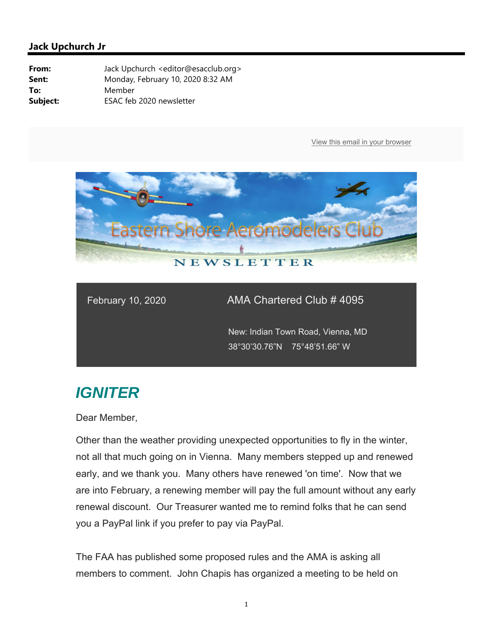

## February 10, 2020 **AMA Chartered Club**  $\overline{\text{# }4095}$

 New: Indian Town Road, Vienna, MD 38°30'30.76"N 75°48'51.66" W

## *IGNITER*

Dear Member,

Other than the weather providing unexpected opportunities to fly in the winter, not all that much going on in Vienna. Many members stepped up and renewed early, and we thank you. Many others have renewed 'on time'. Now that we are into February, a renewing member will pay the full amount without any early renewal discount. Our Treasurer wanted me to remind folks that he can send you a PayPal link if you prefer to pay via PayPal.

The FAA has published some proposed rules and the AMA is asking all members to comment. John Chapis has organized a meeting to be held on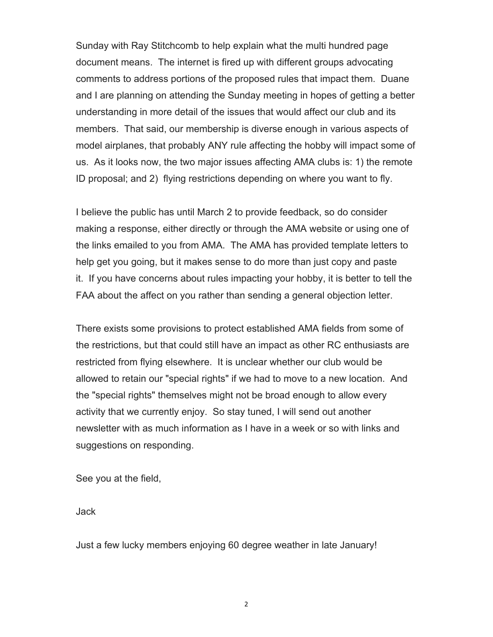Sunday with Ray Stitchcomb to help explain what the multi hundred page document means. The internet is fired up with different groups advocating comments to address portions of the proposed rules that impact them. Duane and I are planning on attending the Sunday meeting in hopes of getting a better understanding in more detail of the issues that would affect our club and its members. That said, our membership is diverse enough in various aspects of model airplanes, that probably ANY rule affecting the hobby will impact some of us. As it looks now, the two major issues affecting AMA clubs is: 1) the remote ID proposal; and 2) flying restrictions depending on where you want to fly.

I believe the public has until March 2 to provide feedback, so do consider making a response, either directly or through the AMA website or using one of the links emailed to you from AMA. The AMA has provided template letters to help get you going, but it makes sense to do more than just copy and paste it. If you have concerns about rules impacting your hobby, it is better to tell the FAA about the affect on you rather than sending a general objection letter.

There exists some provisions to protect established AMA fields from some of the restrictions, but that could still have an impact as other RC enthusiasts are restricted from flying elsewhere. It is unclear whether our club would be allowed to retain our "special rights" if we had to move to a new location. And the "special rights" themselves might not be broad enough to allow every activity that we currently enjoy. So stay tuned, I will send out another newsletter with as much information as I have in a week or so with links and suggestions on responding.

See you at the field,

Jack

Just a few lucky members enjoying 60 degree weather in late January!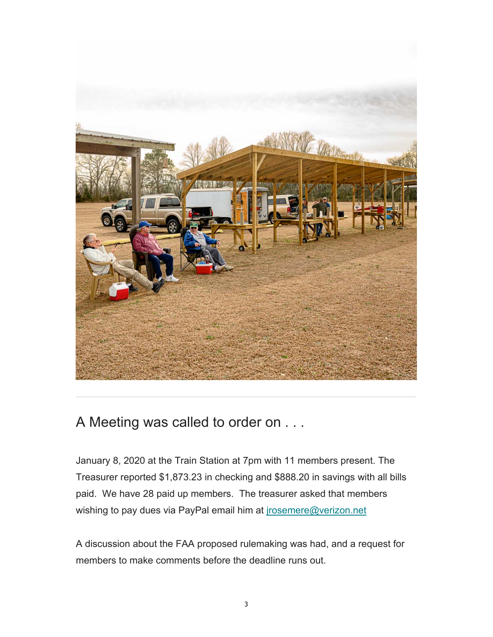

## A Meeting was called to order on . . .

January 8, 2020 at the Train Station at 7pm with 11 members present. The Treasurer reported \$1,873.23 in checking and \$888.20 in savings with all bills paid. We have 28 paid up members. The treasurer asked that members wishing to pay dues via PayPal email him at jrosemere@verizon.net

A discussion about the FAA proposed rulemaking was had, and a request for members to make comments before the deadline runs out.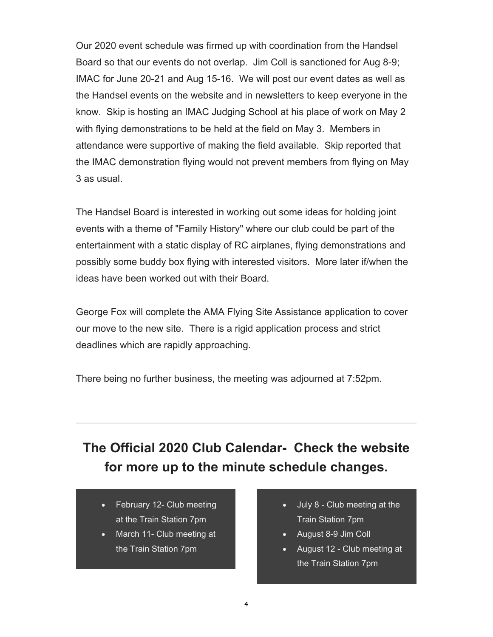Our 2020 event schedule was firmed up with coordination from the Handsel Board so that our events do not overlap. Jim Coll is sanctioned for Aug 8-9; IMAC for June 20-21 and Aug 15-16. We will post our event dates as well as the Handsel events on the website and in newsletters to keep everyone in the know. Skip is hosting an IMAC Judging School at his place of work on May 2 with flying demonstrations to be held at the field on May 3. Members in attendance were supportive of making the field available. Skip reported that the IMAC demonstration flying would not prevent members from flying on May 3 as usual.

The Handsel Board is interested in working out some ideas for holding joint events with a theme of "Family History" where our club could be part of the entertainment with a static display of RC airplanes, flying demonstrations and possibly some buddy box flying with interested visitors. More later if/when the ideas have been worked out with their Board.

George Fox will complete the AMA Flying Site Assistance application to cover our move to the new site. There is a rigid application process and strict deadlines which are rapidly approaching.

There being no further business, the meeting was adjourned at 7:52pm.

## **The Official 2020 Club Calendar- Check the website for more up to the minute schedule changes.**

- February 12- Club meeting at the Train Station 7pm
- March 11- Club meeting at the Train Station 7pm
- July 8 Club meeting at the Train Station 7pm
- August 8-9 Jim Coll
- August 12 Club meeting at the Train Station 7pm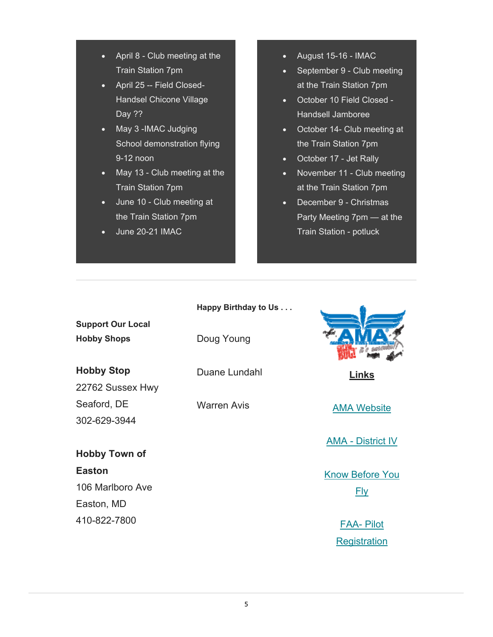- April 8 Club meeting at the Train Station 7pm
- April 25 -- Field Closed-Handsel Chicone Village Day ??
- May 3 -IMAC Judging School demonstration flying 9-12 noon
- May 13 Club meeting at the Train Station 7pm
- June 10 Club meeting at the Train Station 7pm
- June 20-21 IMAC

410-822-7800

- August 15-16 IMAC
- September 9 Club meeting at the Train Station 7pm
- October 10 Field Closed -Handsell Jamboree
- October 14- Club meeting at the Train Station 7pm
- October 17 Jet Rally
- November 11 Club meeting at the Train Station 7pm
- December 9 Christmas Party Meeting 7pm — at the Train Station - potluck

|                          | Happy Birthday to Us |                          |
|--------------------------|----------------------|--------------------------|
| <b>Support Our Local</b> |                      |                          |
| <b>Hobby Shops</b>       | Doug Young           |                          |
| <b>Hobby Stop</b>        | Duane Lundahl        | <b>Links</b>             |
| 22762 Sussex Hwy         |                      |                          |
| Seaford, DE              | <b>Warren Avis</b>   | <b>AMA Website</b>       |
| 302-629-3944             |                      |                          |
|                          |                      | <b>AMA - District IV</b> |
| <b>Hobby Town of</b>     |                      |                          |
| <b>Easton</b>            |                      | <b>Know Before You</b>   |
| 106 Marlboro Ave         |                      | <b>Fly</b>               |
| Easton, MD               |                      |                          |

FAA- Pilot **Registration**